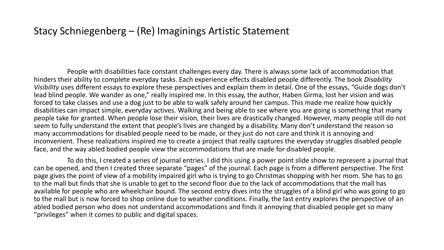## Stacy Schniegenberg – (Re) Imaginings Artistic Statement

People with disabilities face constant challenges every day. There is always some lack of accommodation that hinders their ability to complete everyday tasks. Each experience effects disabled people differently. The book *Disability Visibility* uses different essays to explore these perspectives and explain them in detail. One of the essays, "Guide dogs don't lead blind people. We wander as one," really inspired me. In this essay, the author, Haben Girma, lost her vision and was forced to take classes and use a dog just to be able to walk safely around her campus. This made me realize how quickly disabilities can impact simple, everyday actives. Walking and being able to see where you are going is something that many people take for granted. When people lose their vision, their lives are drastically changed. However, many people still do not seem to fully understand the extent that people's lives are changed by a disability. Many don't understand the reason so many accommodations for disabled people need to be made, or they just do not care and think it is annoying and inconvenient. These realizations inspired me to create a project that really captures the everyday struggles disabled people face, and the way abled bodied people view the accommodations that are made for disabled people.

To do this, I created a series of journal entries. I did this using a power point slide show to represent a journal that can be opened, and then I created three separate "pages" of the journal. Each page is from a different perspective. The first page gives the point of view of a mobility impaired girl who is trying to go Christmas shopping with her mom. She has to go to the mall but finds that she is unable to get to the second floor due to the lack of accommodations that the mall has available for people who are wheelchair bound. The second entry dives into the struggles of a blind girl who was going to go to the mall but is now forced to shop online due to weather conditions. Finally, the last entry explores the perspective of an abled bodied person who does not understand accommodations and finds it annoying that disabled people get so many "privileges" when it comes to public and digital spaces.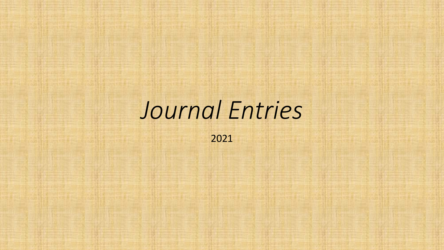## *Journal Entries*

2021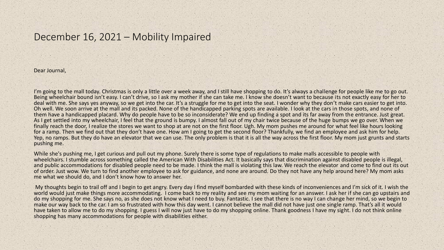## December 16, 2021 – Mobility Impaired

Dear Journal,

I'm going to the mall today. Christmas is only a little over a week away, and I still have shopping to do. It's always a challenge for people like me to go out. Being wheelchair bound isn't easy. I can't drive, so I ask my mother if she can take me. I know she doesn't want to because its not exactly easy for her to deal with me. She says yes anyway, so we get into the car. It's a struggle for me to get into the seat. I wonder why they don't make cars easier to get into. Oh well. We soon arrive at the mall and its packed. None of the handicapped parking spots are available. I look at the cars in those spots, and none of them have a handicapped placard. Why do people have to be so inconsiderate? We end up finding a spot and its far away from the entrance. Just great. As I get settled into my wheelchair, I feel that the ground is bumpy. I almost fall out of my chair twice because of the huge bumps we go over. When we finally reach the door, I realize the stores we want to shop at are not on the first floor. Ugh. My mom pushes me around for what feel like hours looking for a ramp. Then we find out that they don't have one. How am I going to get the second floor? Thankfully, we find an employee and ask him for help. Yep, no ramps. But they do have an elevator that we can use. The only problem is that it is all the way across the first floor. My mom just grunts and starts pushing me.

While she's pushing me, I get curious and pull out my phone. Surely there is some type of regulations to make malls accessible to people with wheelchairs. I stumble across something called the American With Disabilities Act. It basically says that discrimination against disabled people is illegal, and public accommodations for disabled people need to be made. I think the mall is violating this law. We reach the elevator and come to find out its out of order. Just wow. We turn to find another employee to ask for guidance, and none are around. Do they not have any help around here? My mom asks me what we should do, and I don't know how to answer her.

My thoughts begin to trail off and I begin to get angry. Every day I find myself bombarded with these kinds of inconveniences and I'm sick of it. I wish the world would just make things more accommodating. I come back to my reality and see my mom waiting for an answer. I ask her if she can go upstairs and do my shopping for me. She says no, as she does not know what I need to buy. Fantastic. I see that there is no way I can change her mind, so we begin to make our way back to the car. I am so frustrated with how this day went. I cannot believe the mall did not have just one single ramp. That's all it would have taken to allow me to do my shopping. I guess I will now just have to do my shopping online. Thank goodness I have my sight. I do not think online shopping has many accommodations for people with disabilities either.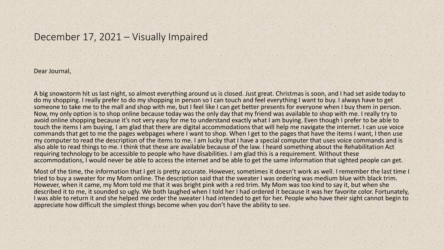## December 17, 2021 – Visually Impaired

Dear Journal,

A big snowstorm hit us last night, so almost everything around us is closed. Just great. Christmas is soon, and I had set aside today to do my shopping. I really prefer to do my shopping in person so I can touch and feel everything I want to buy. I always have to get someone to take me to the mall and shop with me, but I feel like I can get better presents for everyone when I buy them in person. Now, my only option is to shop online because today was the only day that my friend was available to shop with me. I really try to avoid online shopping because it's not very easy for me to understand exactly what I am buying. Even though I prefer to be able to touch the items I am buying, I am glad that there are digital accommodations that will help me navigate the internet. I can use voice commands that get to me the pages webpages where I want to shop. When I get to the pages that have the items I want, I then use my computer to read the description of the items to me. I am lucky that I have a special computer that uses voice commands and is also able to read things to me. I think that these are available because of the law. I heard something about the Rehabilitation Act requiring technology to be accessible to people who have disabilities. I am glad this is a requirement. Without these accommodations, I would never be able to access the internet and be able to get the same information that sighted people can get.

Most of the time, the information that I get is pretty accurate. However, sometimes it doesn't work as well. I remember the last time I tried to buy a sweater for my Mom online. The description said that the sweater I was ordering was medium blue with black trim. However, when it came, my Mom told me that it was bright pink with a red trim. My Mom was too kind to say it, but when she described it to me, it sounded so ugly. We both laughed when I told her I had ordered it because it was her favorite color. Fortunately, I was able to return it and she helped me order the sweater I had intended to get for her. People who have their sight cannot begin to appreciate how difficult the simplest things become when you don't have the ability to see.